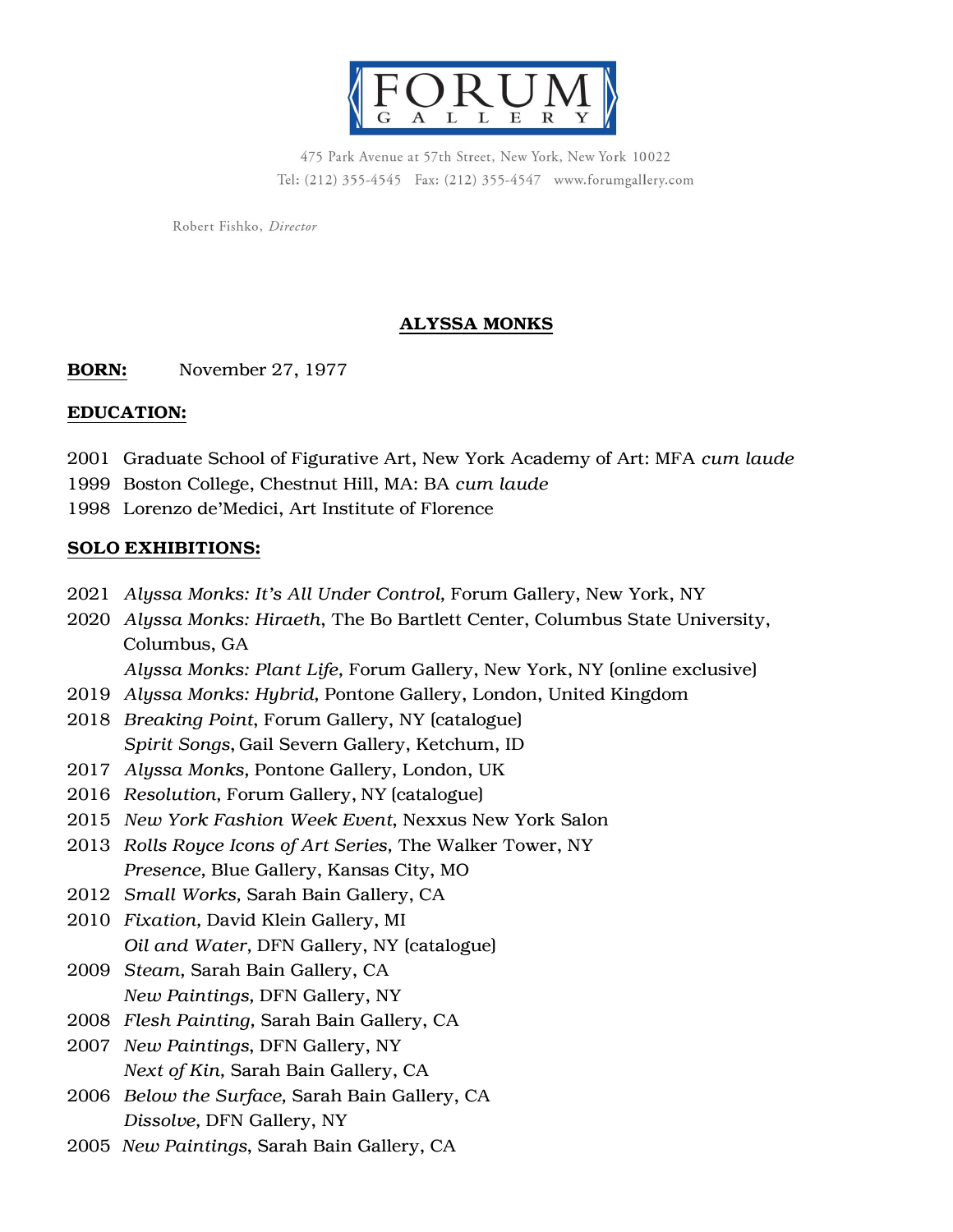

475 Park Avenue at 57th Street, New York, New York 10022 Tel: (212) 355-4545 Fax: (212) 355-4547 www.forumgallery.com

Robert Fishko, Director

## ALYSSA MONKS

**BORN:** November 27, 1977

#### EDUCATION:

- 2001 Graduate School of Figurative Art, New York Academy of Art: MFA *cum laude*
- 1999 Boston College, Chestnut Hill, MA: BA *cum laude*
- 1998 Lorenzo de'Medici, Art Institute of Florence

## SOLO EXHIBITIONS:

- 2021 *Alyssa Monks: It's All Under Control,* Forum Gallery, New York, NY
- 2020 *Alyssa Monks: Hiraeth*, The Bo Bartlett Center, Columbus State University, Columbus, GA

*Alyssa Monks: Plant Life,* Forum Gallery, New York, NY (online exclusive)

- 2019 *Alyssa Monks: Hybrid,* Pontone Gallery, London, United Kingdom
- 2018 *Breaking Point*, Forum Gallery, NY (catalogue) *Spirit Songs*, Gail Severn Gallery, Ketchum, ID
- 2017 *Alyssa Monks,* Pontone Gallery, London, UK
- 2016 *Resolution,* Forum Gallery, NY (catalogue)
- 2015 *New York Fashion Week Event*, Nexxus New York Salon
- 2013 *Rolls Royce Icons of Art Series,* The Walker Tower, NY *Presence,* Blue Gallery, Kansas City, MO
- 2012 *Small Works,* Sarah Bain Gallery, CA
- 2010 *Fixation,* David Klein Gallery, MI *Oil and Water,* DFN Gallery, NY (catalogue)
- 2009 *Steam,* Sarah Bain Gallery, CA *New Paintings,* DFN Gallery, NY
- 2008 *Flesh Painting,* Sarah Bain Gallery, CA
- 2007 *New Paintings*, DFN Gallery, NY *Next of Kin,* Sarah Bain Gallery, CA
- 2006 *Below the Surface,* Sarah Bain Gallery, CA *Dissolve,* DFN Gallery, NY
- 2005 *New Paintings*, Sarah Bain Gallery, CA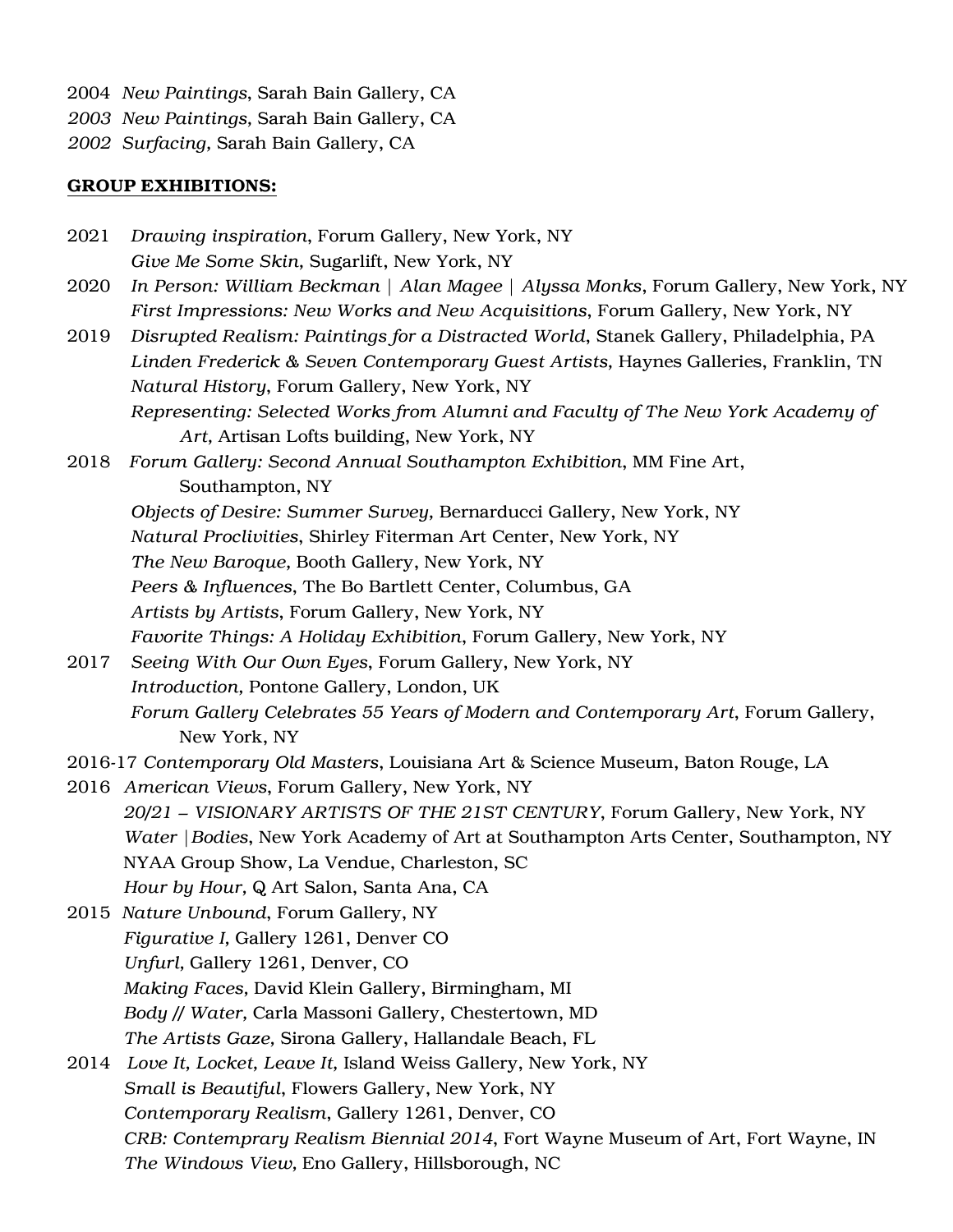- 2004 *New Paintings*, Sarah Bain Gallery, CA
- *2003 New Paintings,* Sarah Bain Gallery, CA
- *2002 Surfacing,* Sarah Bain Gallery, CA

#### GROUP EXHIBITIONS:

- 2021 *Drawing inspiration*, Forum Gallery, New York, NY *Give Me Some Skin,* Sugarlift, New York, NY
- 2020 *In Person: William Beckman | Alan Magee | Alyssa Monks*, Forum Gallery, New York, NY *First Impressions: New Works and New Acquisitions*, Forum Gallery, New York, NY
- 2019 *Disrupted Realism: Paintings for a Distracted World*, Stanek Gallery, Philadelphia, PA *Linden Frederick & Seven Contemporary Guest Artists,* Haynes Galleries, Franklin, TN *Natural History*, Forum Gallery, New York, NY *Representing: Selected Works from Alumni and Faculty of The New York Academy of*

*Art,* Artisan Lofts building, New York, NY

2018 *Forum Gallery: Second Annual Southampton Exhibition*, MM Fine Art, Southampton, NY

*Objects of Desire: Summer Survey,* Bernarducci Gallery, New York, NY

*Natural Proclivities*, Shirley Fiterman Art Center, New York, NY

*The New Baroque,* Booth Gallery, New York, NY

*Peers & Influences*, The Bo Bartlett Center, Columbus, GA

*Artists by Artists*, Forum Gallery, New York, NY

*Favorite Things: A Holiday Exhibition*, Forum Gallery, New York, NY

2017 *Seeing With Our Own Eyes*, Forum Gallery, New York, NY *Introduction,* Pontone Gallery, London, UK *Forum Gallery Celebrates 55 Years of Modern and Contemporary Art*, Forum Gallery, New York, NY

2016-17 *Contemporary Old Masters*, Louisiana Art & Science Museum, Baton Rouge, LA

2016 *American Views*, Forum Gallery, New York, NY *20/21 – VISIONARY ARTISTS OF THE 21ST CENTURY*, Forum Gallery, New York, NY *Water* |*Bodies*, New York Academy of Art at Southampton Arts Center, Southampton, NY NYAA Group Show, La Vendue, Charleston, SC *Hour by Hour,* Q Art Salon, Santa Ana, CA

2015 *Nature Unbound*, Forum Gallery, NY *Figurative I,* Gallery 1261, Denver CO *Unfurl,* Gallery 1261, Denver, CO *Making Faces,* David Klein Gallery, Birmingham, MI *Body // Water,* Carla Massoni Gallery, Chestertown, MD *The Artists Gaze,* Sirona Gallery, Hallandale Beach, FL

2014 *Love It, Locket, Leave It,* Island Weiss Gallery, New York, NY *Small is Beautiful*, Flowers Gallery, New York, NY *Contemporary Realism*, Gallery 1261, Denver, CO *CRB: Contemprary Realism Biennial 2014*, Fort Wayne Museum of Art, Fort Wayne, IN *The Windows View,* Eno Gallery, Hillsborough, NC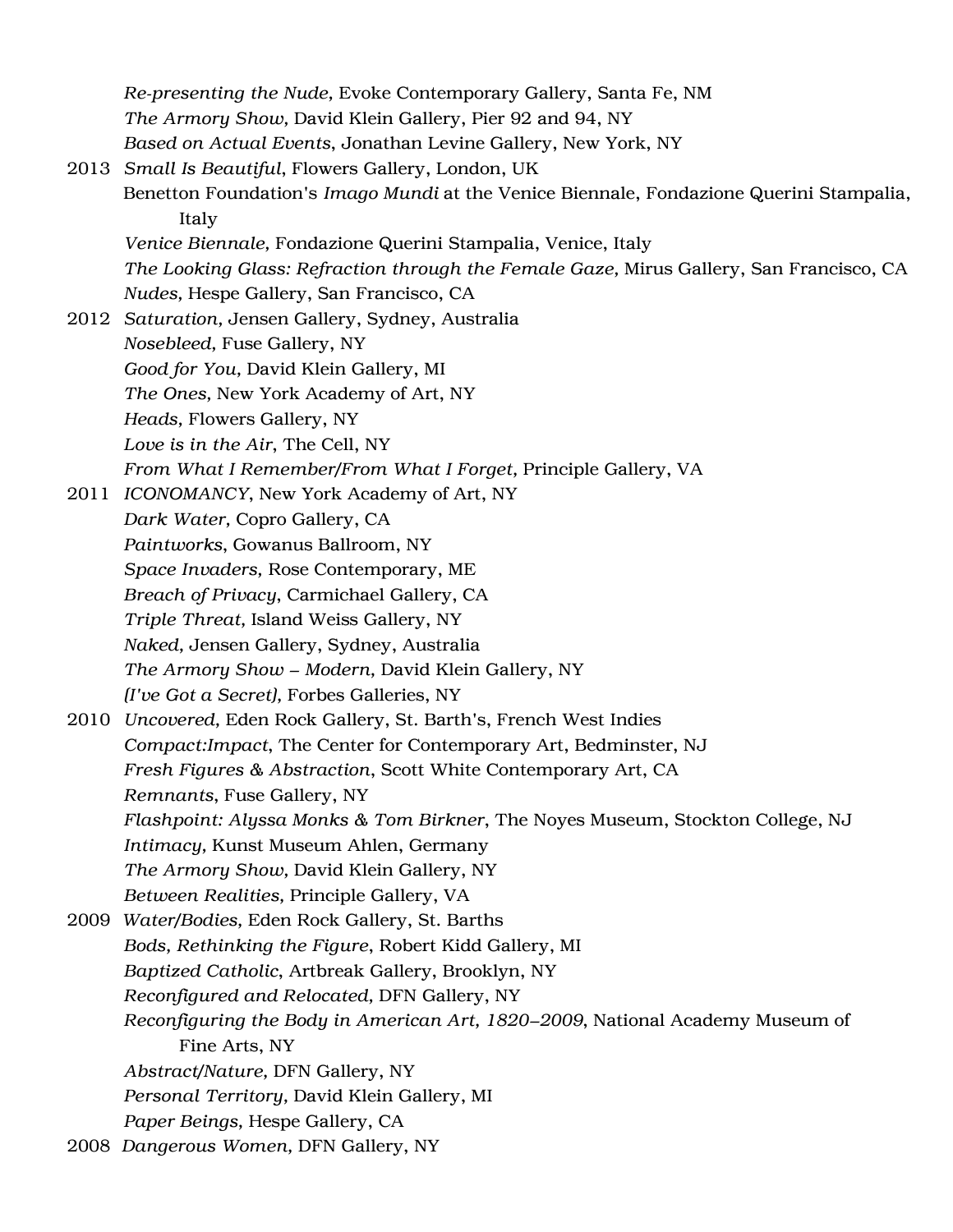*Re-presenting the Nude,* Evoke Contemporary Gallery, Santa Fe, NM *The Armory Show,* David Klein Gallery, Pier 92 and 94, NY *Based on Actual Events*, Jonathan Levine Gallery, New York, NY 2013 *Small Is Beautiful*, Flowers Gallery, London, UK Benetton Foundation's *Imago Mundi* at the Venice Biennale, Fondazione Querini Stampalia, Italy *Venice Biennale,* Fondazione Querini Stampalia, Venice, Italy *The Looking Glass: Refraction through the Female Gaze,* Mirus Gallery, San Francisco, CA *Nudes,* Hespe Gallery, San Francisco, CA 2012 *Saturation,* Jensen Gallery, Sydney, Australia *Nosebleed,* Fuse Gallery, NY *Good for You,* David Klein Gallery, MI *The Ones,* New York Academy of Art, NY *Heads,* Flowers Gallery, NY *Love is in the Air*, The Cell, NY *From What I Remember/From What I Forget,* Principle Gallery, VA 2011 *ICONOMANCY*, New York Academy of Art, NY *Dark Water,* Copro Gallery, CA *Paintworks*, Gowanus Ballroom, NY *Space Invaders,* Rose Contemporary, ME *Breach of Privacy*, Carmichael Gallery, CA *Triple Threat,* Island Weiss Gallery, NY *Naked,* Jensen Gallery, Sydney, Australia *The Armory Show – Modern,* David Klein Gallery, NY *(I've Got a Secret),* Forbes Galleries, NY 2010 *Uncovered,* Eden Rock Gallery, St. Barth's, French West Indies *Compact:Impact*, The Center for Contemporary Art, Bedminster, NJ *Fresh Figures & Abstraction*, Scott White Contemporary Art, CA *Remnants*, Fuse Gallery, NY *Flashpoint: Alyssa Monks & Tom Birkner*, The Noyes Museum, Stockton College, NJ *Intimacy,* Kunst Museum Ahlen, Germany *The Armory Show,* David Klein Gallery, NY *Between Realities,* Principle Gallery, VA 2009 *Water/Bodies,* Eden Rock Gallery, St. Barths *Bods, Rethinking the Figure*, Robert Kidd Gallery, MI *Baptized Catholic*, Artbreak Gallery, Brooklyn, NY *Reconfigured and Relocated,* DFN Gallery, NY *Reconfiguring the Body in American Art, 1820–2009*, National Academy Museum of Fine Arts, NY *Abstract/Nature,* DFN Gallery, NY *Personal Territory,* David Klein Gallery, MI *Paper Beings,* Hespe Gallery, CA 2008 *Dangerous Women,* DFN Gallery, NY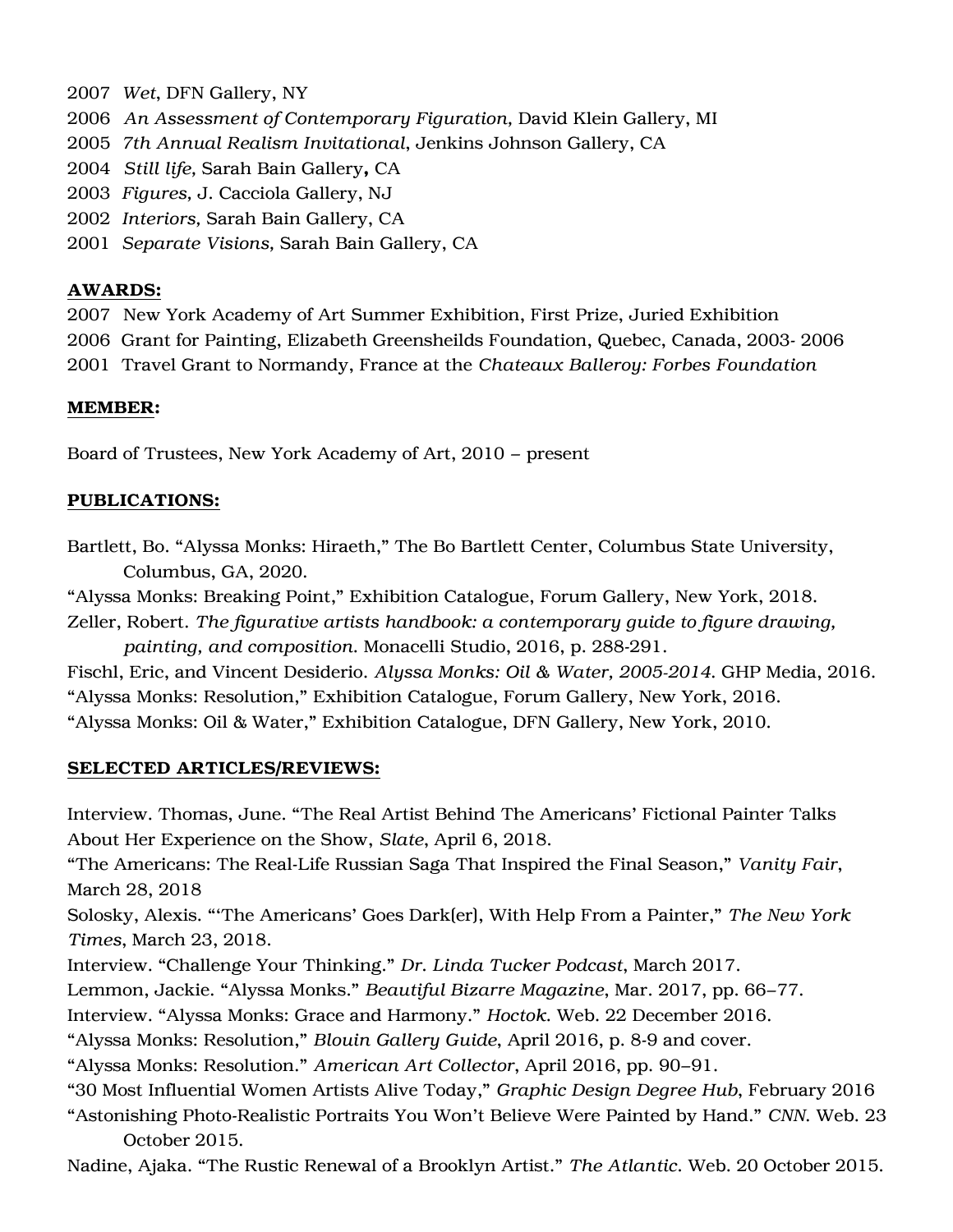- 2007 *Wet*, DFN Gallery, NY
- 2006 *An Assessment of Contemporary Figuration,* David Klein Gallery, MI
- 2005 *7th Annual Realism Invitational*, Jenkins Johnson Gallery, CA
- 2004 *Still life,* Sarah Bain Gallery, CA
- 2003 *Figures,* J. Cacciola Gallery, NJ
- 2002 *Interiors,* Sarah Bain Gallery, CA
- 2001 *Separate Visions,* Sarah Bain Gallery, CA

## AWARDS:

2007 New York Academy of Art Summer Exhibition, First Prize, Juried Exhibition 2006 Grant for Painting, Elizabeth Greensheilds Foundation, Quebec, Canada, 2003- 2006 2001 Travel Grant to Normandy, France at the *Chateaux Balleroy: Forbes Foundation*

## MEMBER:

Board of Trustees, New York Academy of Art, 2010 – present

## PUBLICATIONS:

- Bartlett, Bo. "Alyssa Monks: Hiraeth," The Bo Bartlett Center, Columbus State University, Columbus, GA, 2020.
- "Alyssa Monks: Breaking Point," Exhibition Catalogue, Forum Gallery, New York, 2018.
- Zeller, Robert. *The figurative artists handbook: a contemporary guide to figure drawing, painting, and composition*. Monacelli Studio, 2016, p. 288-291.

Fischl, Eric, and Vincent Desiderio. *Alyssa Monks: Oil & Water, 2005-2014*. GHP Media, 2016. "Alyssa Monks: Resolution," Exhibition Catalogue, Forum Gallery, New York, 2016. "Alyssa Monks: Oil & Water," Exhibition Catalogue, DFN Gallery, New York, 2010.

#### SELECTED ARTICLES/REVIEWS:

Interview. Thomas, June. "The Real Artist Behind The Americans' Fictional Painter Talks About Her Experience on the Show, *Slate*, April 6, 2018.

"The Americans: The Real-Life Russian Saga That Inspired the Final Season," *Vanity Fair*, March 28, 2018

Solosky, Alexis. "'The Americans' Goes Dark(er), With Help From a Painter," *The New York Times*, March 23, 2018.

Interview. "Challenge Your Thinking." *Dr. Linda Tucker Podcast*, March 2017.

Lemmon, Jackie. "Alyssa Monks." *Beautiful Bizarre Magazine*, Mar. 2017, pp. 66–77.

Interview. "Alyssa Monks: Grace and Harmony." *Hoctok.* Web. 22 December 2016.

"Alyssa Monks: Resolution," *Blouin Gallery Guide*, April 2016, p. 8-9 and cover.

"Alyssa Monks: Resolution." *American Art Collector*, April 2016, pp. 90–91.

"30 Most Influential Women Artists Alive Today," *Graphic Design Degree Hub*, February 2016

"Astonishing Photo-Realistic Portraits You Won't Believe Were Painted by Hand." *CNN*. Web. 23 October 2015.

Nadine, Ajaka. "The Rustic Renewal of a Brooklyn Artist." *The Atlantic.* Web. 20 October 2015.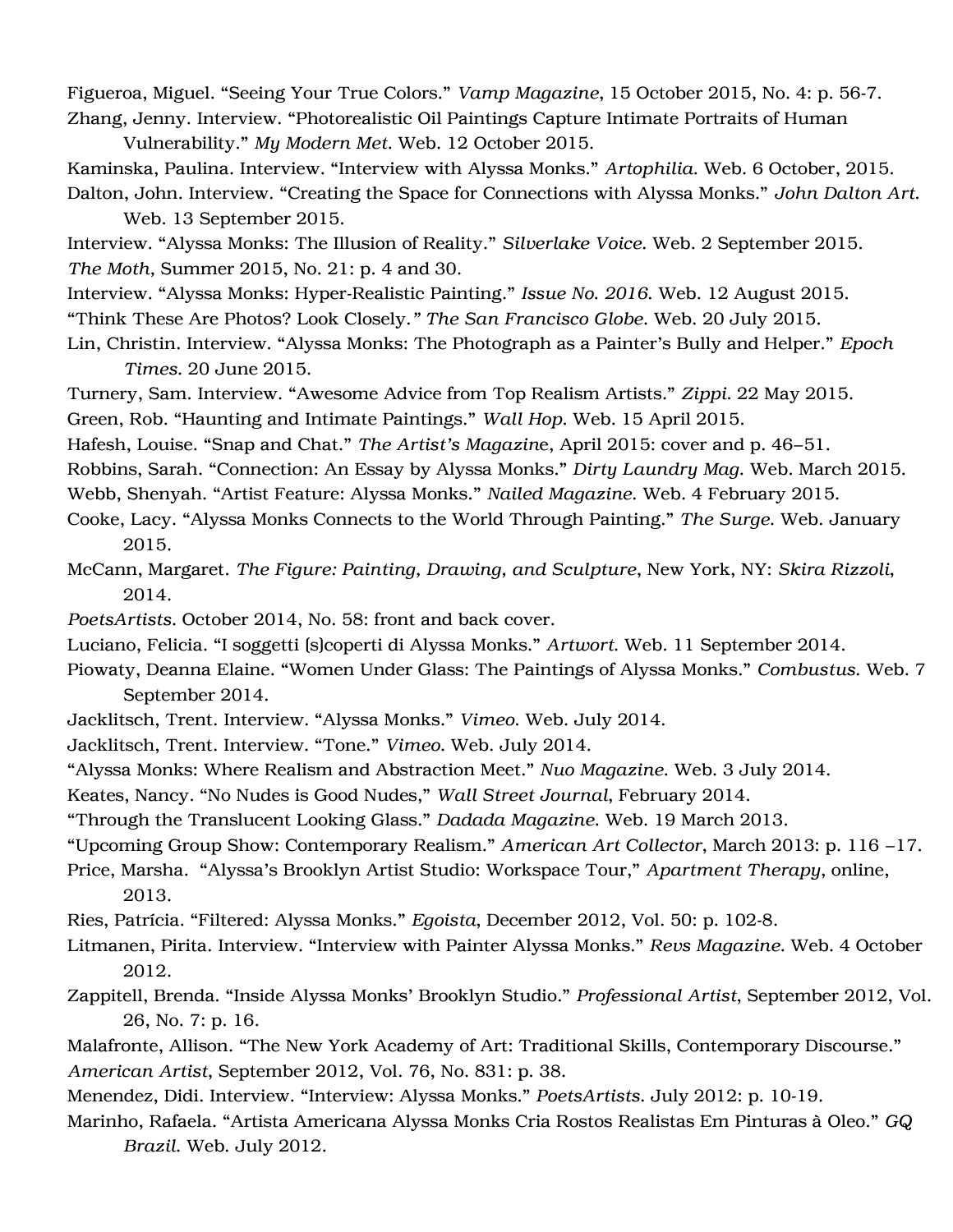Figueroa, Miguel. "Seeing Your True Colors." *Vamp Magazine*, 15 October 2015, No. 4: p. 56-7. Zhang, Jenny. Interview. "Photorealistic Oil Paintings Capture Intimate Portraits of Human

Vulnerability." *My Modern Met.* Web. 12 October 2015.

Kaminska, Paulina. Interview. "Interview with Alyssa Monks." *Artophilia*. Web. 6 October, 2015. Dalton, John. Interview. "Creating the Space for Connections with Alyssa Monks." *John Dalton Art*.

Web. 13 September 2015.

Interview. "Alyssa Monks: The Illusion of Reality." *Silverlake Voice.* Web. 2 September 2015. *The Moth,* Summer 2015, No. 21: p. 4 and 30.

Interview. "Alyssa Monks: Hyper-Realistic Painting." *Issue No. 2016*. Web. 12 August 2015.

"Think These Are Photos? Look Closely.*" The San Francisco Globe.* Web. 20 July 2015.

Lin, Christin. Interview. "Alyssa Monks: The Photograph as a Painter's Bully and Helper." *Epoch Times*. 20 June 2015.

Turnery, Sam. Interview. "Awesome Advice from Top Realism Artists." *Zippi.* 22 May 2015. Green, Rob. "Haunting and Intimate Paintings." *Wall Hop.* Web. 15 April 2015.

Hafesh, Louise. "Snap and Chat." *The Artist's Magazin*e, April 2015: cover and p. 46–51.

Robbins, Sarah. "Connection: An Essay by Alyssa Monks." *Dirty Laundry Mag*. Web. March 2015.

Webb, Shenyah. "Artist Feature: Alyssa Monks." *Nailed Magazine*. Web. 4 February 2015.

Cooke, Lacy. "Alyssa Monks Connects to the World Through Painting." *The Surge.* Web. January 2015.

McCann, Margaret. *The Figure: Painting, Drawing, and Sculpture*, New York, NY: *Skira Rizzoli*, 2014.

- *PoetsArtists.* October 2014, No. 58: front and back cover.
- Luciano, Felicia. "I soggetti (s)coperti di Alyssa Monks." *Artwort*. Web. 11 September 2014.

Piowaty, Deanna Elaine. "Women Under Glass: The Paintings of Alyssa Monks." *Combustus*. Web. 7 September 2014.

- Jacklitsch, Trent. Interview. "Alyssa Monks." *Vimeo.* Web. July 2014.
- Jacklitsch, Trent. Interview. "Tone." *Vimeo*. Web. July 2014.

"Alyssa Monks: Where Realism and Abstraction Meet." *Nuo Magazine*. Web. 3 July 2014.

Keates, Nancy. "No Nudes is Good Nudes," *Wall Street Journal*, February 2014.

"Through the Translucent Looking Glass." *Dadada Magazine*. Web. 19 March 2013.

"Upcoming Group Show: Contemporary Realism." *American Art Collector*, March 2013: p. 116 –17.

Price, Marsha. "Alyssa's Brooklyn Artist Studio: Workspace Tour," *Apartment Therapy*, online, 2013.

Ries, Patrícia. "Filtered: Alyssa Monks." *Egoista*, December 2012, Vol. 50: p. 102-8.

Litmanen, Pirita. Interview. "Interview with Painter Alyssa Monks." *Revs Magazine*. Web. 4 October 2012.

Zappitell, Brenda. "Inside Alyssa Monks' Brooklyn Studio." *Professional Artist*, September 2012, Vol. 26, No. 7: p. 16.

Malafronte, Allison. "The New York Academy of Art: Traditional Skills, Contemporary Discourse." *American Artist*, September 2012, Vol. 76, No. 831: p. 38.

Menendez, Didi. Interview. "Interview: Alyssa Monks." *PoetsArtists.* July 2012: p. 10-19.

Marinho, Rafaela. "Artista Americana Alyssa Monks Cria Rostos Realistas Em Pinturas à Oleo." *GQ Brazil*. Web. July 2012.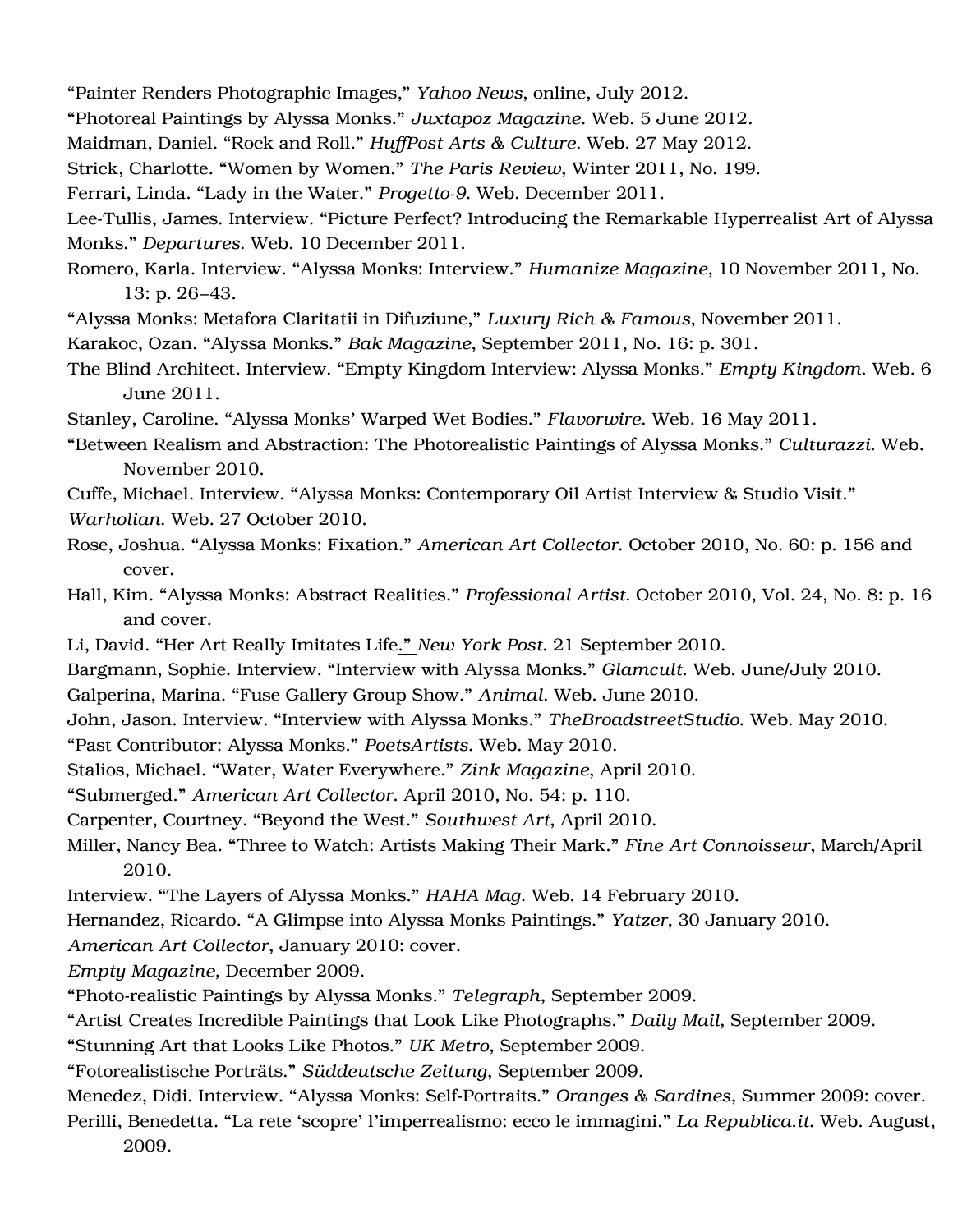"Painter Renders Photographic Images," *Yahoo News*, online, July 2012.

"Photoreal Paintings by Alyssa Monks." *Juxtapoz Magazine*. Web. 5 June 2012.

Maidman, Daniel. "Rock and Roll." *HuffPost Arts & Culture.* Web. 27 May 2012.

Strick, Charlotte. "Women by Women." *The Paris Review*, Winter 2011, No. 199.

Ferrari, Linda. "Lady in the Water." *Progetto-9.* Web. December 2011.

Lee-Tullis, James. Interview. "Picture Perfect? Introducing the Remarkable Hyperrealist Art of Alyssa Monks." *Departures.* Web. 10 December 2011.

Romero, Karla. Interview. "Alyssa Monks: Interview." *Humanize Magazine*, 10 November 2011, No. 13: p. 26–43.

"Alyssa Monks: Metafora Claritatii in Difuziune," *Luxury Rich & Famous*, November 2011.

Karakoc, Ozan. "Alyssa Monks." *Bak Magazine*, September 2011, No. 16: p. 301.

The Blind Architect. Interview. "Empty Kingdom Interview: Alyssa Monks." *Empty Kingdom.* Web. 6 June 2011.

Stanley, Caroline. "Alyssa Monks' Warped Wet Bodies." *Flavorwire*. Web. 16 May 2011.

"Between Realism and Abstraction: The Photorealistic Paintings of Alyssa Monks." *Culturazzi*. Web. November 2010.

Cuffe, Michael. Interview. "Alyssa Monks: Contemporary Oil Artist Interview & Studio Visit."

*Warholian.* Web. 27 October 2010.

- Rose, Joshua. "Alyssa Monks: Fixation." *American Art Collector*. October 2010, No. 60: p. 156 and cover.
- Hall, Kim. "Alyssa Monks: Abstract Realities." *Professional Artist.* October 2010, Vol. 24, No. 8: p. 16 and cover.
- Li, David. "Her Art Really Imitates Life." *New York Post*. 21 September 2010.

Bargmann, Sophie. Interview. "Interview with Alyssa Monks." *Glamcult.* Web. June/July 2010.

Galperina, Marina. "Fuse Gallery Group Show." *Animal.* Web. June 2010.

John, Jason. Interview. "Interview with Alyssa Monks." *TheBroadstreetStudio*. Web. May 2010.

"Past Contributor: Alyssa Monks." *PoetsArtists*. Web. May 2010.

Stalios, Michael. "Water, Water Everywhere." *Zink Magazine*, April 2010.

"Submerged." *American Art Collector.* April 2010, No. 54: p. 110.

Carpenter, Courtney. "Beyond the West." *Southwest Art*, April 2010.

Miller, Nancy Bea. "Three to Watch: Artists Making Their Mark." *Fine Art Connoisseur*, March/April 2010.

Interview. "The Layers of Alyssa Monks." *HAHA Mag*. Web. 14 February 2010.

Hernandez, Ricardo. "A Glimpse into Alyssa Monks Paintings." *Yatzer*, 30 January 2010.

*American Art Collector*, January 2010: cover.

*Empty Magazine,* December 2009.

"Photo-realistic Paintings by Alyssa Monks*.*" *Telegraph*, September 2009.

"Artist Creates Incredible Paintings that Look Like Photographs." *Daily Mail*, September 2009.

"Stunning Art that Looks Like Photos." *UK Metro*, September 2009.

"Fotorealistische Porträts." *Süddeutsche Zeitung*, September 2009.

Menedez, Didi. Interview. "Alyssa Monks: Self-Portraits." *Oranges & Sardines*, Summer 2009: cover.

Perilli, Benedetta*.* "La rete 'scopre' l'imperrealismo: ecco le immagini." *La Republica.it*. Web. August, 2009.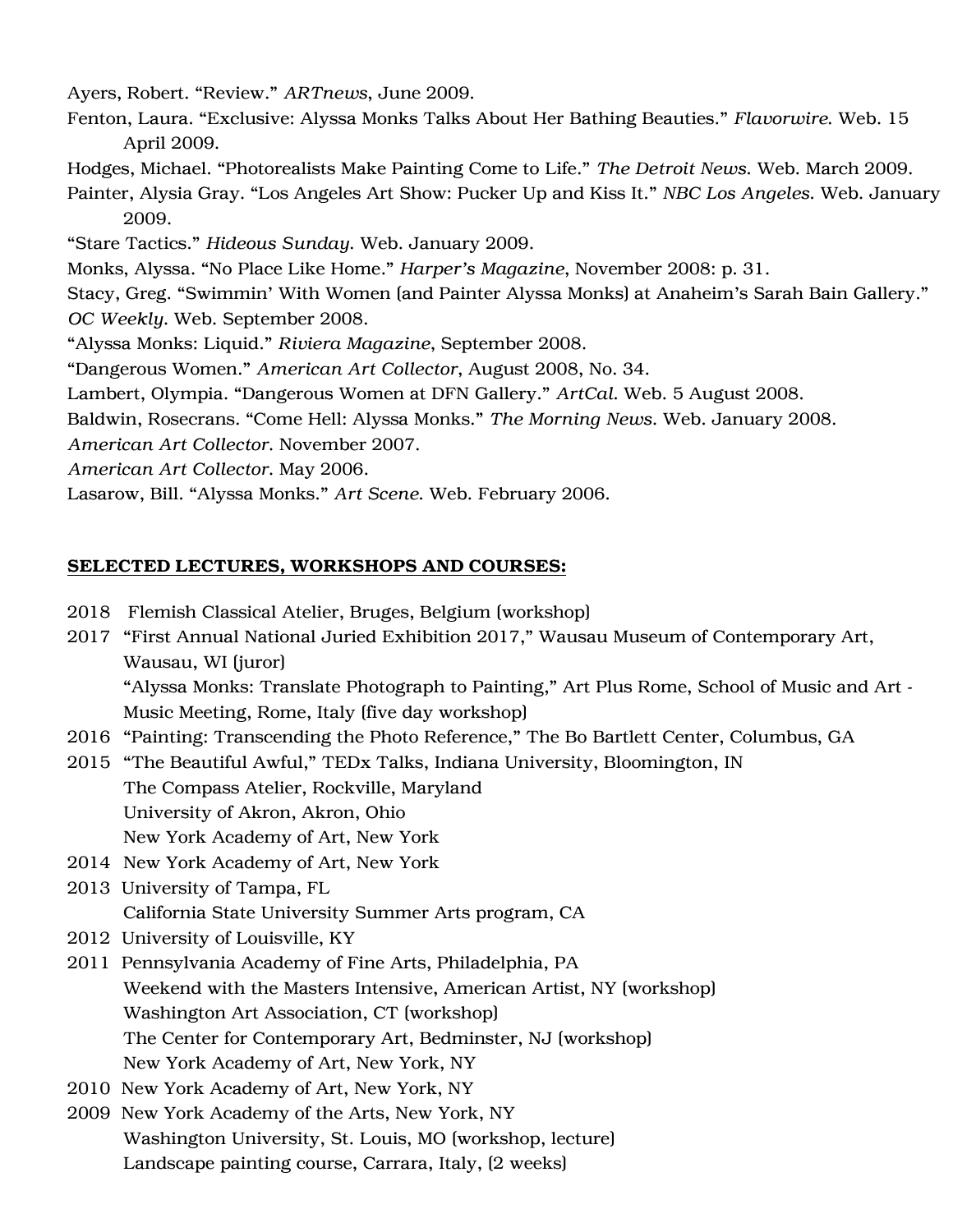Ayers, Robert. "Review*.*" *ARTnews*, June 2009.

Fenton, Laura. "Exclusive: Alyssa Monks Talks About Her Bathing Beauties." *Flavorwire*. Web. 15 April 2009.

Hodges, Michael. "Photorealists Make Painting Come to Life." *The Detroit News.* Web. March 2009.

Painter, Alysia Gray. "Los Angeles Art Show: Pucker Up and Kiss It." *NBC Los Angeles*. Web. January 2009.

"Stare Tactics." *Hideous Sunday*. Web. January 2009*.*

Monks, Alyssa. "No Place Like Home." *Harper's Magazine*, November 2008: p. 31.

Stacy, Greg. "Swimmin' With Women (and Painter Alyssa Monks) at Anaheim's Sarah Bain Gallery." *OC Weekly.* Web. September 2008.

"Alyssa Monks: Liquid." *Riviera Magazine*, September 2008.

"Dangerous Women." *American Art Collector*, August 2008, No. 34.

Lambert, Olympia. "Dangerous Women at DFN Gallery." *ArtCal.* Web. 5 August 2008.

Baldwin, Rosecrans. "Come Hell: Alyssa Monks." *The Morning News*. Web. January 2008.

*American Art Collector.* November 2007.

*American Art Collector.* May 2006.

Lasarow, Bill. "Alyssa Monks." *Art Scene*. Web. February 2006.

## SELECTED LECTURES, WORKSHOPS AND COURSES:

- 2018 Flemish Classical Atelier, Bruges, Belgium (workshop)
- 2017 "First Annual National Juried Exhibition 2017," Wausau Museum of Contemporary Art, Wausau, WI (juror) "Alyssa Monks: Translate Photograph to Painting," Art Plus Rome, School of Music and Art - Music Meeting, Rome, Italy (five day workshop)
- 2016 "Painting: Transcending the Photo Reference," The Bo Bartlett Center, Columbus, GA
- 2015 "The Beautiful Awful," TEDx Talks, Indiana University, Bloomington, IN The Compass Atelier, Rockville, Maryland University of Akron, Akron, Ohio
	- New York Academy of Art, New York
- 2014 New York Academy of Art, New York
- 2013 University of Tampa, FL California State University Summer Arts program, CA
- 2012 University of Louisville, KY
- 2011 Pennsylvania Academy of Fine Arts, Philadelphia, PA Weekend with the Masters Intensive, American Artist, NY (workshop) Washington Art Association, CT (workshop) The Center for Contemporary Art, Bedminster, NJ (workshop) New York Academy of Art, New York, NY
- 2010 New York Academy of Art, New York, NY
- 2009 New York Academy of the Arts, New York, NY Washington University, St. Louis, MO (workshop, lecture) Landscape painting course, Carrara, Italy, (2 weeks)